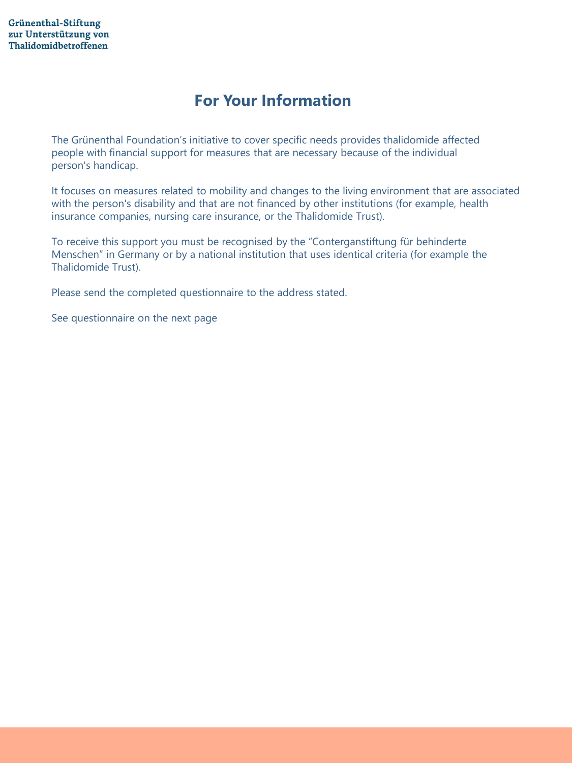## **For Your Information**

The Grünenthal Foundation's initiative to cover specific needs provides thalidomide affected people with financial support for measures that are necessary because of the individual person's handicap.

It focuses on measures related to mobility and changes to the living environment that are associated with the person's disability and that are not financed by other institutions (for example, health insurance companies, nursing care insurance, or the Thalidomide Trust).

To receive this support you must be recognised by the "Conterganstiftung für behinderte Menschen" in Germany or by a national institution that uses identical criteria (for example the Thalidomide Trust).

Please send the completed questionnaire to the address stated.

See questionnaire on the next page